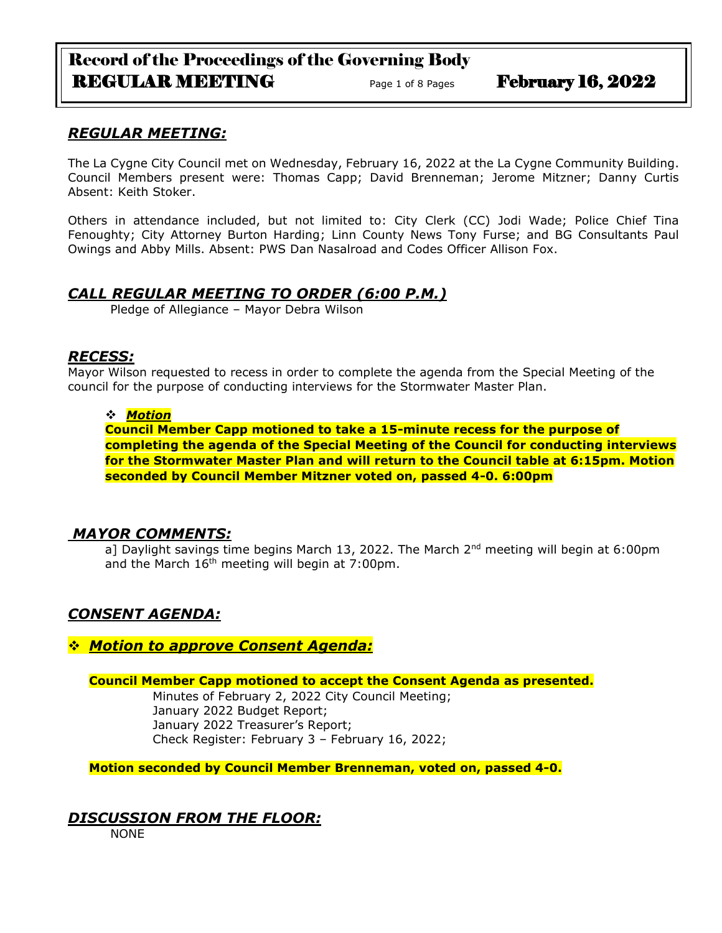# Record of the Proceedings of the Governing Body REGULAR MEETING Page 1 of 8 Pages February 16, 2022

## *REGULAR MEETING:*

The La Cygne City Council met on Wednesday, February 16, 2022 at the La Cygne Community Building. Council Members present were: Thomas Capp; David Brenneman; Jerome Mitzner; Danny Curtis Absent: Keith Stoker.

Others in attendance included, but not limited to: City Clerk (CC) Jodi Wade; Police Chief Tina Fenoughty; City Attorney Burton Harding; Linn County News Tony Furse; and BG Consultants Paul Owings and Abby Mills. Absent: PWS Dan Nasalroad and Codes Officer Allison Fox.

### *CALL REGULAR MEETING TO ORDER (6:00 P.M.)*

Pledge of Allegiance – Mayor Debra Wilson

### *RECESS:*

Mayor Wilson requested to recess in order to complete the agenda from the Special Meeting of the council for the purpose of conducting interviews for the Stormwater Master Plan.

### ❖ *Motion*

**Council Member Capp motioned to take a 15-minute recess for the purpose of completing the agenda of the Special Meeting of the Council for conducting interviews for the Stormwater Master Plan and will return to the Council table at 6:15pm. Motion seconded by Council Member Mitzner voted on, passed 4-0. 6:00pm**

### *MAYOR COMMENTS:*

a] Daylight savings time begins March 13, 2022. The March  $2<sup>nd</sup>$  meeting will begin at 6:00pm and the March  $16<sup>th</sup>$  meeting will begin at 7:00pm.

# *CONSENT AGENDA:*

### ❖ *Motion to approve Consent Agenda:*

**Council Member Capp motioned to accept the Consent Agenda as presented.**

Minutes of February 2, 2022 City Council Meeting; January 2022 Budget Report; January 2022 Treasurer's Report; Check Register: February 3 – February 16, 2022;

**Motion seconded by Council Member Brenneman, voted on, passed 4-0.** 

# *DISCUSSION FROM THE FLOOR:*

NONE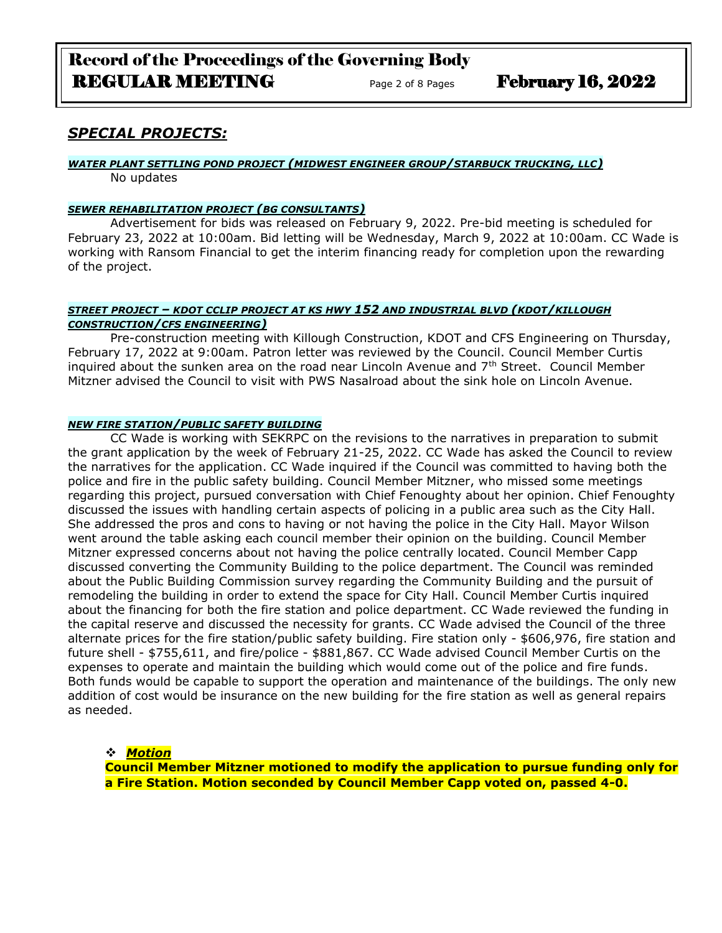# Record of the Proceedings of the Governing Body REGULAR MEETING Page 2 of 8 Pages February 16, 2022

# *SPECIAL PROJECTS:*

#### *WATER PLANT SETTLING POND PROJECT (MIDWEST ENGINEER GROUP/STARBUCK TRUCKING, LLC)*

No updates

#### *SEWER REHABILITATION PROJECT (BG CONSULTANTS)*

Advertisement for bids was released on February 9, 2022. Pre-bid meeting is scheduled for February 23, 2022 at 10:00am. Bid letting will be Wednesday, March 9, 2022 at 10:00am. CC Wade is working with Ransom Financial to get the interim financing ready for completion upon the rewarding of the project.

#### *STREET PROJECT – KDOT CCLIP PROJECT AT KS HWY 152 AND INDUSTRIAL BLVD (KDOT/KILLOUGH CONSTRUCTION/CFS ENGINEERING)*

Pre-construction meeting with Killough Construction, KDOT and CFS Engineering on Thursday, February 17, 2022 at 9:00am. Patron letter was reviewed by the Council. Council Member Curtis inquired about the sunken area on the road near Lincoln Avenue and  $7<sup>th</sup>$  Street. Council Member Mitzner advised the Council to visit with PWS Nasalroad about the sink hole on Lincoln Avenue.

#### *NEW FIRE STATION/PUBLIC SAFETY BUILDING*

CC Wade is working with SEKRPC on the revisions to the narratives in preparation to submit the grant application by the week of February 21-25, 2022. CC Wade has asked the Council to review the narratives for the application. CC Wade inquired if the Council was committed to having both the police and fire in the public safety building. Council Member Mitzner, who missed some meetings regarding this project, pursued conversation with Chief Fenoughty about her opinion. Chief Fenoughty discussed the issues with handling certain aspects of policing in a public area such as the City Hall. She addressed the pros and cons to having or not having the police in the City Hall. Mayor Wilson went around the table asking each council member their opinion on the building. Council Member Mitzner expressed concerns about not having the police centrally located. Council Member Capp discussed converting the Community Building to the police department. The Council was reminded about the Public Building Commission survey regarding the Community Building and the pursuit of remodeling the building in order to extend the space for City Hall. Council Member Curtis inquired about the financing for both the fire station and police department. CC Wade reviewed the funding in the capital reserve and discussed the necessity for grants. CC Wade advised the Council of the three alternate prices for the fire station/public safety building. Fire station only - \$606,976, fire station and future shell - \$755,611, and fire/police - \$881,867. CC Wade advised Council Member Curtis on the expenses to operate and maintain the building which would come out of the police and fire funds. Both funds would be capable to support the operation and maintenance of the buildings. The only new addition of cost would be insurance on the new building for the fire station as well as general repairs as needed.

#### ❖ *Motion*

**Council Member Mitzner motioned to modify the application to pursue funding only for a Fire Station. Motion seconded by Council Member Capp voted on, passed 4-0.**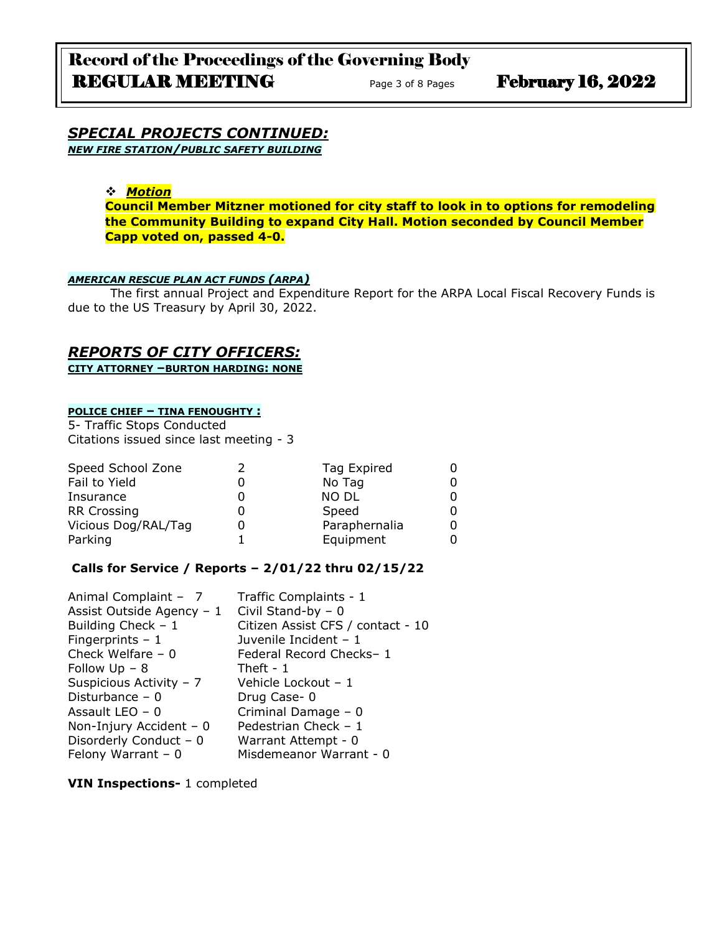#### *SPECIAL PROJECTS CONTINUED: NEW FIRE STATION/PUBLIC SAFETY BUILDING*

### ❖ *Motion*

**Council Member Mitzner motioned for city staff to look in to options for remodeling the Community Building to expand City Hall. Motion seconded by Council Member Capp voted on, passed 4-0.**

#### *AMERICAN RESCUE PLAN ACT FUNDS (ARPA)*

The first annual Project and Expenditure Report for the ARPA Local Fiscal Recovery Funds is due to the US Treasury by April 30, 2022.

### *REPORTS OF CITY OFFICERS:*

**CITY ATTORNEY –BURTON HARDING: NONE**

#### **POLICE CHIEF – TINA FENOUGHTY :**

5- Traffic Stops Conducted Citations issued since last meeting - 3

| Speed School Zone   | Tag Expired   |  |
|---------------------|---------------|--|
| Fail to Yield       | No Tag        |  |
| Insurance           | <b>NO DL</b>  |  |
| <b>RR Crossing</b>  | Speed         |  |
| Vicious Dog/RAL/Tag | Paraphernalia |  |
| Parking             | Equipment     |  |

#### **Calls for Service / Reports – 2/01/22 thru 02/15/22**

| Animal Complaint - 7      | Traffic Complaints - 1            |
|---------------------------|-----------------------------------|
| Assist Outside Agency - 1 | Civil Stand-by $-0$               |
| Building Check $-1$       | Citizen Assist CFS / contact - 10 |
| Fingerprints $-1$         | Juvenile Incident - 1             |
| Check Welfare $-0$        | Federal Record Checks-1           |
| Follow $Up - 8$           | Theft - $1$                       |
| Suspicious Activity - 7   | Vehicle Lockout - 1               |
| Disturbance $-0$          | Drug Case-0                       |
| Assault LEO $-0$          | Criminal Damage - 0               |
| Non-Injury Accident - 0   | Pedestrian Check - 1              |
| Disorderly Conduct - 0    | Warrant Attempt - 0               |
| Felony Warrant $-0$       | Misdemeanor Warrant - 0           |

**VIN Inspections-** 1 completed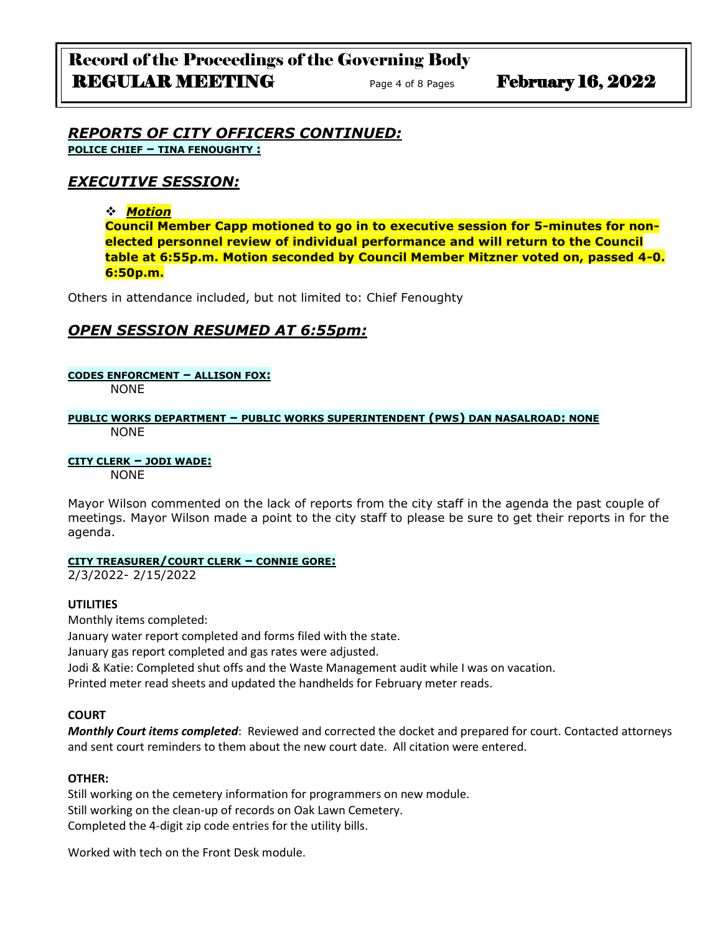### *REPORTS OF CITY OFFICERS CONTINUED:* **POLICE CHIEF – TINA FENOUGHTY :**

# *EXECUTIVE SESSION:*

### ❖ *Motion*

**Council Member Capp motioned to go in to executive session for 5-minutes for nonelected personnel review of individual performance and will return to the Council table at 6:55p.m. Motion seconded by Council Member Mitzner voted on, passed 4-0. 6:50p.m.**

Others in attendance included, but not limited to: Chief Fenoughty

# *OPEN SESSION RESUMED AT 6:55pm:*

#### **CODES ENFORCMENT – ALLISON FOX:**

NONE

#### **PUBLIC WORKS DEPARTMENT – PUBLIC WORKS SUPERINTENDENT (PWS) DAN NASALROAD: NONE** NONE

### **CITY CLERK – JODI WADE:**

NONE

Mayor Wilson commented on the lack of reports from the city staff in the agenda the past couple of meetings. Mayor Wilson made a point to the city staff to please be sure to get their reports in for the agenda.

### **CITY TREASURER/COURT CLERK – CONNIE GORE:**

2/3/2022- 2/15/2022

### **UTILITIES**

Monthly items completed:

January water report completed and forms filed with the state.

January gas report completed and gas rates were adjusted.

Jodi & Katie: Completed shut offs and the Waste Management audit while I was on vacation.

Printed meter read sheets and updated the handhelds for February meter reads.

### **COURT**

*Monthly Court items completed*: Reviewed and corrected the docket and prepared for court. Contacted attorneys and sent court reminders to them about the new court date. All citation were entered.

### **OTHER:**

Still working on the cemetery information for programmers on new module. Still working on the clean-up of records on Oak Lawn Cemetery. Completed the 4-digit zip code entries for the utility bills.

Worked with tech on the Front Desk module.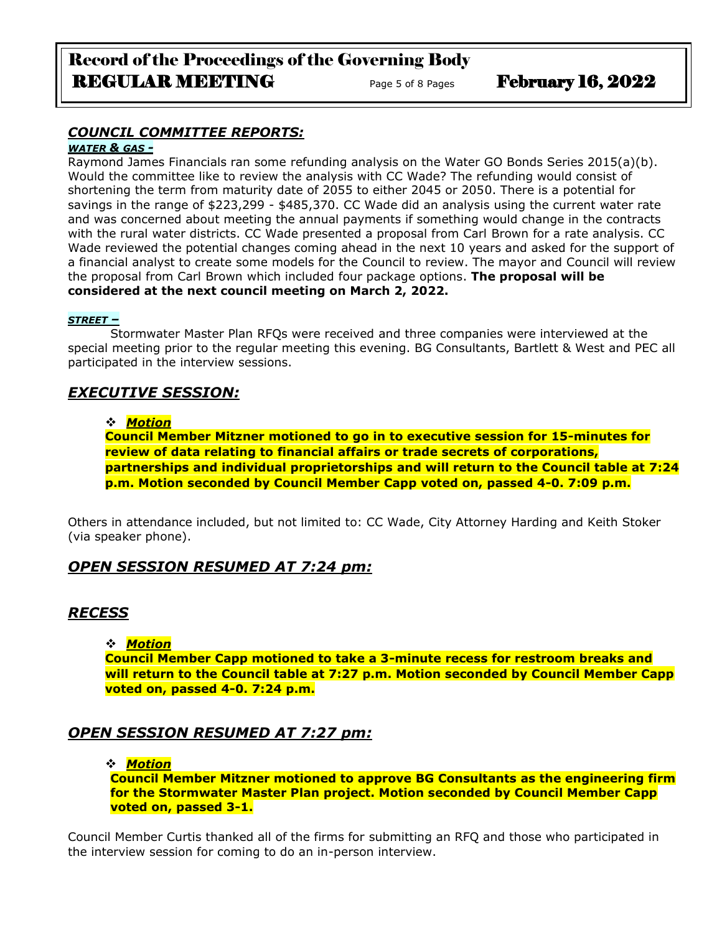# Record of the Proceedings of the Governing Body REGULAR MEETING Page 5 of 8 Pages February 16, 2022

# *COUNCIL COMMITTEE REPORTS:*

### *WATER & GAS -*

Raymond James Financials ran some refunding analysis on the Water GO Bonds Series 2015(a)(b). Would the committee like to review the analysis with CC Wade? The refunding would consist of shortening the term from maturity date of 2055 to either 2045 or 2050. There is a potential for savings in the range of \$223,299 - \$485,370. CC Wade did an analysis using the current water rate and was concerned about meeting the annual payments if something would change in the contracts with the rural water districts. CC Wade presented a proposal from Carl Brown for a rate analysis. CC Wade reviewed the potential changes coming ahead in the next 10 years and asked for the support of a financial analyst to create some models for the Council to review. The mayor and Council will review the proposal from Carl Brown which included four package options. **The proposal will be considered at the next council meeting on March 2, 2022.**

### *STREET –*

Stormwater Master Plan RFQs were received and three companies were interviewed at the special meeting prior to the regular meeting this evening. BG Consultants, Bartlett & West and PEC all participated in the interview sessions.

# *EXECUTIVE SESSION:*

### ❖ *Motion*

**Council Member Mitzner motioned to go in to executive session for 15-minutes for review of data relating to financial affairs or trade secrets of corporations, partnerships and individual proprietorships and will return to the Council table at 7:24 p.m. Motion seconded by Council Member Capp voted on, passed 4-0. 7:09 p.m.**

Others in attendance included, but not limited to: CC Wade, City Attorney Harding and Keith Stoker (via speaker phone).

# *OPEN SESSION RESUMED AT 7:24 pm:*

# *RECESS*

### ❖ *Motion*

**Council Member Capp motioned to take a 3-minute recess for restroom breaks and will return to the Council table at 7:27 p.m. Motion seconded by Council Member Capp voted on, passed 4-0. 7:24 p.m.**

# *OPEN SESSION RESUMED AT 7:27 pm:*

### ❖ *Motion*

**Council Member Mitzner motioned to approve BG Consultants as the engineering firm for the Stormwater Master Plan project. Motion seconded by Council Member Capp voted on, passed 3-1.**

Council Member Curtis thanked all of the firms for submitting an RFQ and those who participated in the interview session for coming to do an in-person interview.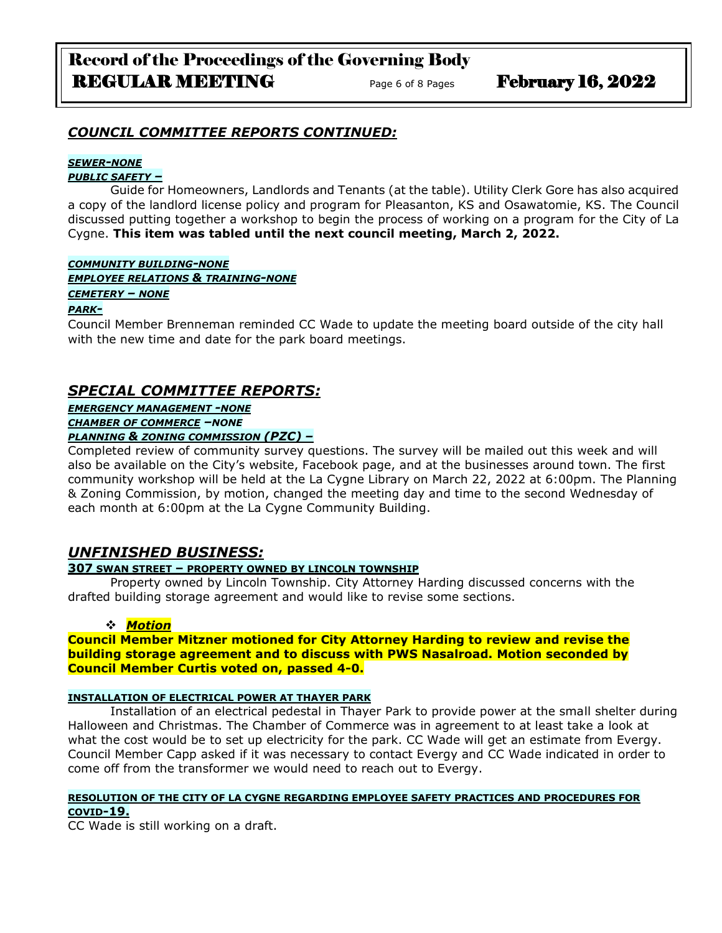### *COUNCIL COMMITTEE REPORTS CONTINUED:*

#### *SEWER-NONE*

#### *PUBLIC SAFETY –*

Guide for Homeowners, Landlords and Tenants (at the table). Utility Clerk Gore has also acquired a copy of the landlord license policy and program for Pleasanton, KS and Osawatomie, KS. The Council discussed putting together a workshop to begin the process of working on a program for the City of La Cygne. **This item was tabled until the next council meeting, March 2, 2022.**

#### *COMMUNITY BUILDING-NONE*

*EMPLOYEE RELATIONS & TRAINING-NONE*

#### *CEMETERY – NONE*

#### *PARK-*

Council Member Brenneman reminded CC Wade to update the meeting board outside of the city hall with the new time and date for the park board meetings.

# *SPECIAL COMMITTEE REPORTS:*

*EMERGENCY MANAGEMENT -NONE*

*CHAMBER OF COMMERCE –NONE*

### *PLANNING & ZONING COMMISSION (PZC) –*

Completed review of community survey questions. The survey will be mailed out this week and will also be available on the City's website, Facebook page, and at the businesses around town. The first community workshop will be held at the La Cygne Library on March 22, 2022 at 6:00pm. The Planning & Zoning Commission, by motion, changed the meeting day and time to the second Wednesday of each month at 6:00pm at the La Cygne Community Building.

### *UNFINISHED BUSINESS:*

### **307 SWAN STREET – PROPERTY OWNED BY LINCOLN TOWNSHIP**

Property owned by Lincoln Township. City Attorney Harding discussed concerns with the drafted building storage agreement and would like to revise some sections.

### ❖ *Motion*

#### **Council Member Mitzner motioned for City Attorney Harding to review and revise the building storage agreement and to discuss with PWS Nasalroad. Motion seconded by Council Member Curtis voted on, passed 4-0.**

#### **INSTALLATION OF ELECTRICAL POWER AT THAYER PARK**

Installation of an electrical pedestal in Thayer Park to provide power at the small shelter during Halloween and Christmas. The Chamber of Commerce was in agreement to at least take a look at what the cost would be to set up electricity for the park. CC Wade will get an estimate from Evergy. Council Member Capp asked if it was necessary to contact Evergy and CC Wade indicated in order to come off from the transformer we would need to reach out to Evergy.

#### **RESOLUTION OF THE CITY OF LA CYGNE REGARDING EMPLOYEE SAFETY PRACTICES AND PROCEDURES FOR COVID-19.**

CC Wade is still working on a draft.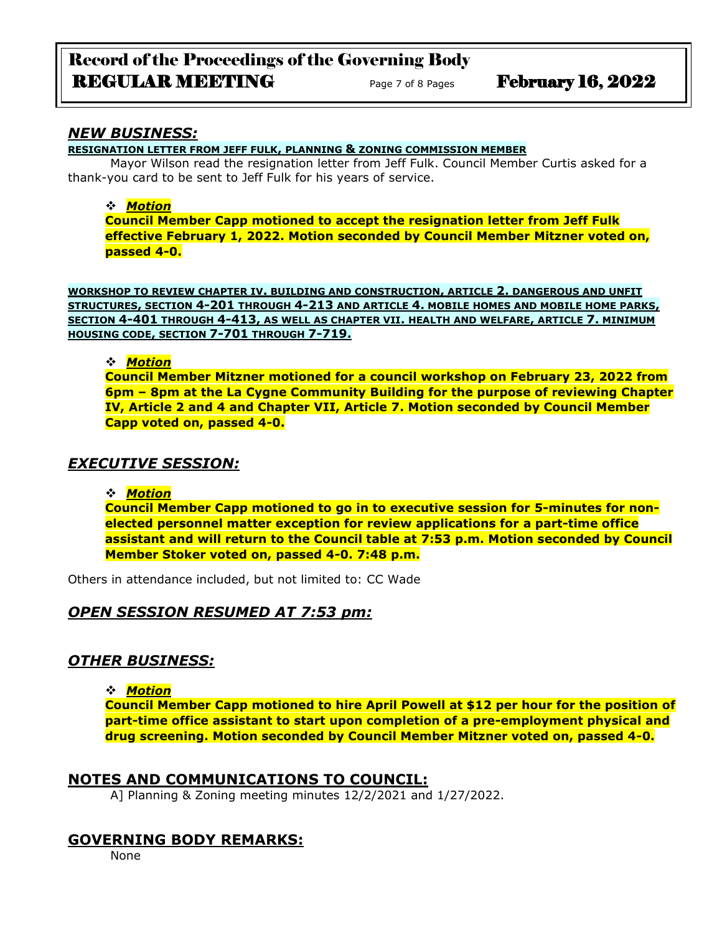### *NEW BUSINESS:*

**RESIGNATION LETTER FROM JEFF FULK, PLANNING & ZONING COMMISSION MEMBER**

Mayor Wilson read the resignation letter from Jeff Fulk. Council Member Curtis asked for a thank-you card to be sent to Jeff Fulk for his years of service.

### ❖ *Motion*

**Council Member Capp motioned to accept the resignation letter from Jeff Fulk effective February 1, 2022. Motion seconded by Council Member Mitzner voted on, passed 4-0.**

**WORKSHOP TO REVIEW CHAPTER IV. BUILDING AND CONSTRUCTION, ARTICLE 2. DANGEROUS AND UNFIT STRUCTURES, SECTION 4-201 THROUGH 4-213 AND ARTICLE 4. MOBILE HOMES AND MOBILE HOME PARKS, SECTION 4-401 THROUGH 4-413, AS WELL AS CHAPTER VII. HEALTH AND WELFARE, ARTICLE 7. MINIMUM HOUSING CODE, SECTION 7-701 THROUGH 7-719.**

### ❖ *Motion*

**Council Member Mitzner motioned for a council workshop on February 23, 2022 from 6pm – 8pm at the La Cygne Community Building for the purpose of reviewing Chapter IV, Article 2 and 4 and Chapter VII, Article 7. Motion seconded by Council Member Capp voted on, passed 4-0.**

# *EXECUTIVE SESSION:*

❖ *Motion* 

**Council Member Capp motioned to go in to executive session for 5-minutes for nonelected personnel matter exception for review applications for a part-time office assistant and will return to the Council table at 7:53 p.m. Motion seconded by Council Member Stoker voted on, passed 4-0. 7:48 p.m.**

Others in attendance included, but not limited to: CC Wade

# *OPEN SESSION RESUMED AT 7:53 pm:*

# *OTHER BUSINESS:*

### ❖ *Motion*

**Council Member Capp motioned to hire April Powell at \$12 per hour for the position of part-time office assistant to start upon completion of a pre-employment physical and drug screening. Motion seconded by Council Member Mitzner voted on, passed 4-0.**

# **NOTES AND COMMUNICATIONS TO COUNCIL:**

A] Planning & Zoning meeting minutes 12/2/2021 and 1/27/2022.

# **GOVERNING BODY REMARKS:**

None